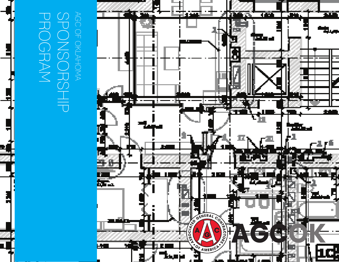### $\bigcirc$ AGC OF OKLAHOMA  $\overline{\mathcal{L}}$ SPONSORSHIP AGC PROGRAM  $\bigcap_{n=1}^{\infty}$ **GRAM** OKL  $\overline{C}$ AHOMA JRSH 一

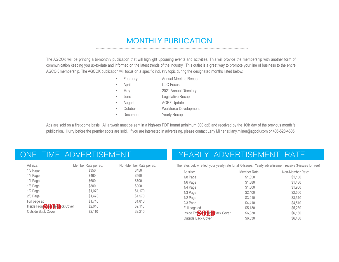# MONTHLY PUBLICATION

The AGCOK will be printing a bi-monthly publication that will highlight upcoming events and activities. This will provide the membership with another form of communication keeping you up-to-date and informed on the latest trends of the industry. This outlet is a great way to promote your line of business to the entire AGCOK membership. The AGCOK publication will focus on a specific industry topic during the designated months listed below:

|           | February | <b>Annual Meeting Recap</b>  |
|-----------|----------|------------------------------|
|           | April    | <b>CLC</b> Focus             |
| $\bullet$ | May      | 2021 Annual Directory        |
|           | June     | Legislative Recap            |
|           | August   | <b>AOEF Update</b>           |
|           | October  | <b>Workforce Development</b> |
|           | December | <b>Yearly Recap</b>          |

Ads are sold on a first-come basis. All artwork must be sent in a high-res PDF format (minimum 300 dpi) and received by the 10th day of the previous month 's publication. Hurry before the premier spots are sold. If you are interested in advertising, please contact Lany Milner at lany.milner@agcok.com or 405-528-4605.

| Ad size:                                  | Member Rate per ad:           | Non-Member Rate per ad:         |
|-------------------------------------------|-------------------------------|---------------------------------|
| $1/8$ Page                                | \$350                         | \$450                           |
| 1/6 Page                                  | \$460                         | \$560                           |
| 1/4 Page                                  | \$600                         | \$700                           |
| 1/3 Page                                  | \$800                         | \$900                           |
| $1/2$ Page                                | \$1,070                       | \$1,170                         |
| 2/3 Page                                  | \$1,470                       | \$1,570                         |
| Full page ad                              | \$1,710                       | \$1,810                         |
| <b>Inside Front Contract De Pok Cover</b> | $Q$ 010<br>$\nabla - \vec{v}$ | 0.110<br>$V \leftarrow, \Box V$ |
| <b>Outside Back Cover</b>                 | \$2.110                       | \$2,210                         |

### ONE TIME ADVERTISEMENT VEARLY ADVERTISEMENT RATE

The rates below reflect your yearly rate for all 6-Issues. Yearly advertisement receive 3-issues for free!

| Ad size:                                 | Member Rate:    | Non-Member Rate:                 |
|------------------------------------------|-----------------|----------------------------------|
| 1/8 Page                                 | \$1,050         | \$1,150                          |
| 1/6 Page                                 | \$1,380         | \$1,480                          |
| 1/4 Page                                 | \$1,800         | \$1,900                          |
| $1/3$ Page                               | \$2,400         | \$2,500                          |
| $1/2$ Page                               | \$3,210         | \$3,310                          |
| 2/3 Page                                 | \$4,410         | \$4,510                          |
| Full page ad                             | \$5.130         | \$5,230                          |
| <b>INSIDE FIGALI J DE LA PRIOR COVER</b> | no non<br>O, CO | 00100<br>$\sqrt{0}$ , $\sqrt{0}$ |
| Outside Back Cover                       | \$6,330         | \$6,430                          |